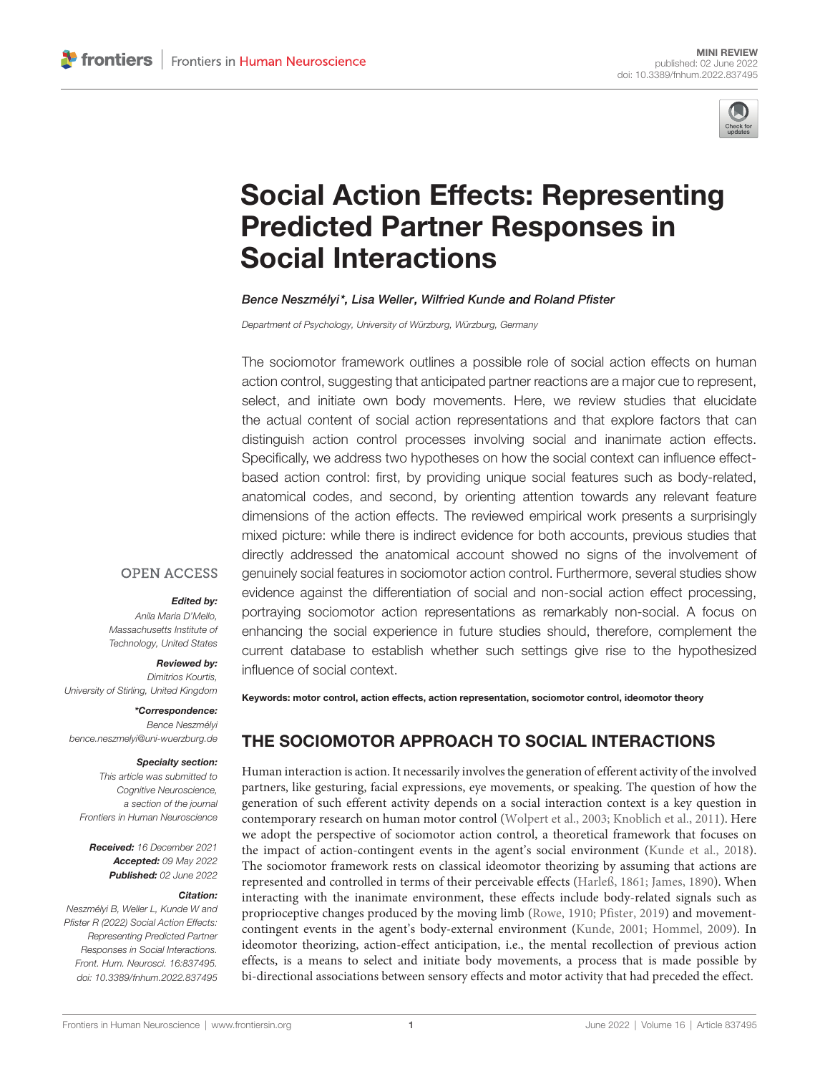

# [Social Action Effects: Representing](https://www.frontiersin.org/articles/10.3389/fnhum.2022.837495/full) Predicted Partner Responses in Social Interactions

### Bence Neszmélyi\*, Lisa Weller, Wilfried Kunde and Roland Pfister

Department of Psychology, University of Würzburg, Würzburg, Germany

The sociomotor framework outlines a possible role of social action effects on human action control, suggesting that anticipated partner reactions are a major cue to represent, select, and initiate own body movements. Here, we review studies that elucidate the actual content of social action representations and that explore factors that can distinguish action control processes involving social and inanimate action effects. Specifically, we address two hypotheses on how the social context can influence effectbased action control: first, by providing unique social features such as body-related, anatomical codes, and second, by orienting attention towards any relevant feature dimensions of the action effects. The reviewed empirical work presents a surprisingly mixed picture: while there is indirect evidence for both accounts, previous studies that directly addressed the anatomical account showed no signs of the involvement of genuinely social features in sociomotor action control. Furthermore, several studies show evidence against the differentiation of social and non-social action effect processing, portraying sociomotor action representations as remarkably non-social. A focus on enhancing the social experience in future studies should, therefore, complement the current database to establish whether such settings give rise to the hypothesized influence of social context.

### **OPEN ACCESS**

### Edited by:

Anila Maria D'Mello, Massachusetts Institute of Technology, United States

Reviewed by:

Dimitrios Kourtis, University of Stirling, United Kingdom

\*Correspondence: Bence Neszmélyi [bence.neszmelyi@uni-wuerzburg.de](mailto:bence.neszmelyi@uni-wuerzburg.de)

#### Specialty section:

This article was submitted to Cognitive Neuroscience, a section of the journal Frontiers in Human Neuroscience

Received: 16 December 2021 Accepted: 09 May 2022 Published: 02 June 2022

#### Citation:

Neszmélyi B, Weller L, Kunde W and Pfister R (2022) Social Action Effects: Representing Predicted Partner Responses in Social Interactions. Front. Hum. Neurosci. 16:837495. [doi: 10.3389/fnhum.2022.837495](https://doi.org/10.3389/fnhum.2022.837495) Keywords: motor control, action effects, action representation, sociomotor control, ideomotor theory

# THE SOCIOMOTOR APPROACH TO SOCIAL INTERACTIONS

Human interaction is action. It necessarily involves the generation of efferent activity of the involved partners, like gesturing, facial expressions, eye movements, or speaking. The question of how the generation of such efferent activity depends on a social interaction context is a key question in contemporary research on human motor control [\(Wolpert et al.,](#page-7-0) [2003;](#page-7-0) [Knoblich et al.,](#page-6-0) [2011\)](#page-6-0). Here we adopt the perspective of sociomotor action control, a theoretical framework that focuses on the impact of action-contingent events in the agent's social environment [\(Kunde et al.,](#page-6-1) [2018\)](#page-6-1). The sociomotor framework rests on classical ideomotor theorizing by assuming that actions are represented and controlled in terms of their perceivable effects [\(Harleß,](#page-6-2) [1861;](#page-6-2) [James,](#page-6-3) [1890\)](#page-6-3). When interacting with the inanimate environment, these effects include body-related signals such as proprioceptive changes produced by the moving limb [\(Rowe,](#page-6-4) [1910;](#page-6-4) [Pfister,](#page-6-5) [2019\)](#page-6-5) and movementcontingent events in the agent's body-external environment [\(Kunde,](#page-6-6) [2001;](#page-6-6) [Hommel,](#page-6-7) [2009\)](#page-6-7). In ideomotor theorizing, action-effect anticipation, i.e., the mental recollection of previous action effects, is a means to select and initiate body movements, a process that is made possible by bi-directional associations between sensory effects and motor activity that had preceded the effect.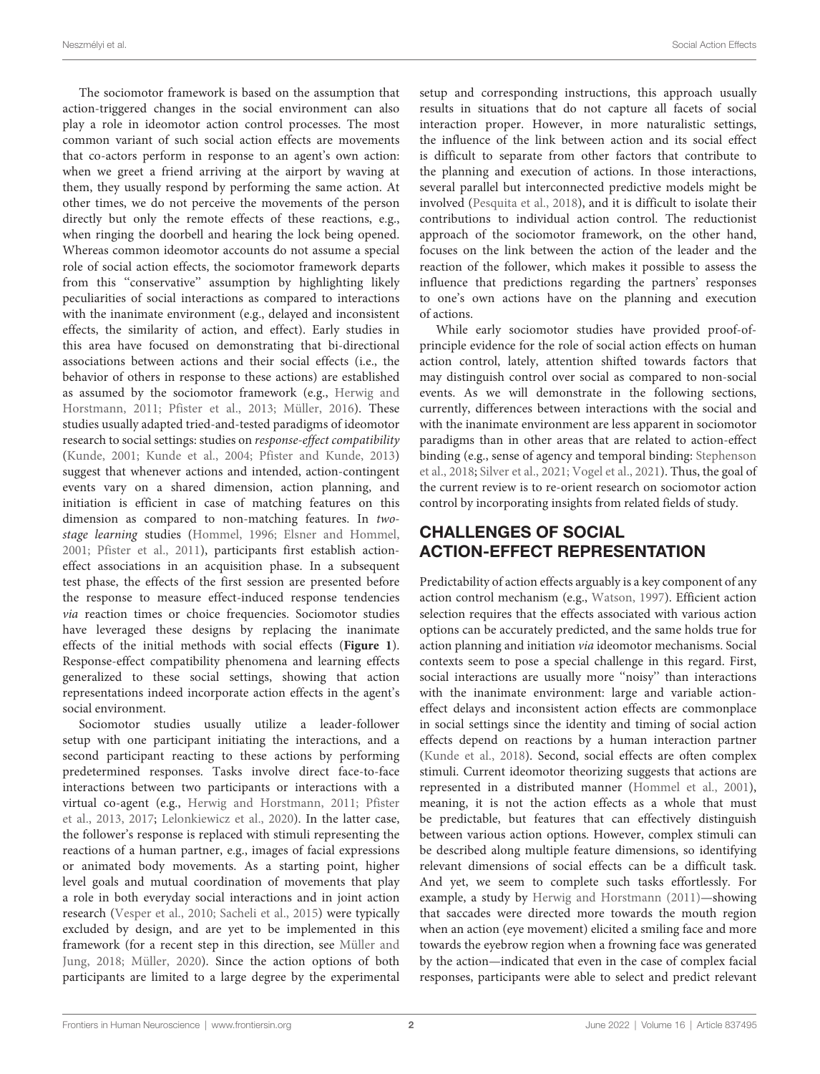The sociomotor framework is based on the assumption that action-triggered changes in the social environment can also play a role in ideomotor action control processes. The most common variant of such social action effects are movements that co-actors perform in response to an agent's own action: when we greet a friend arriving at the airport by waving at them, they usually respond by performing the same action. At other times, we do not perceive the movements of the person directly but only the remote effects of these reactions, e.g., when ringing the doorbell and hearing the lock being opened. Whereas common ideomotor accounts do not assume a special role of social action effects, the sociomotor framework departs from this ''conservative'' assumption by highlighting likely peculiarities of social interactions as compared to interactions with the inanimate environment (e.g., delayed and inconsistent effects, the similarity of action, and effect). Early studies in this area have focused on demonstrating that bi-directional associations between actions and their social effects (i.e., the behavior of others in response to these actions) are established as assumed by the sociomotor framework (e.g., [Herwig and](#page-6-8) [Horstmann,](#page-6-8) [2011;](#page-6-8) [Pfister et al.,](#page-6-9) [2013;](#page-6-9) [Müller,](#page-6-10) [2016\)](#page-6-10). These studies usually adapted tried-and-tested paradigms of ideomotor research to social settings: studies on response-effect compatibility [\(Kunde,](#page-6-6) [2001;](#page-6-6) [Kunde et al.,](#page-6-11) [2004;](#page-6-11) [Pfister and Kunde,](#page-6-12) [2013\)](#page-6-12) suggest that whenever actions and intended, action-contingent events vary on a shared dimension, action planning, and initiation is efficient in case of matching features on this dimension as compared to non-matching features. In twostage learning studies [\(Hommel,](#page-6-13) [1996;](#page-6-13) [Elsner and Hommel,](#page-5-0) [2001;](#page-5-0) [Pfister et al.,](#page-6-14) [2011\)](#page-6-14), participants first establish actioneffect associations in an acquisition phase. In a subsequent test phase, the effects of the first session are presented before the response to measure effect-induced response tendencies via reaction times or choice frequencies. Sociomotor studies have leveraged these designs by replacing the inanimate effects of the initial methods with social effects (**[Figure 1](#page-2-0)**). Response-effect compatibility phenomena and learning effects generalized to these social settings, showing that action representations indeed incorporate action effects in the agent's social environment.

Sociomotor studies usually utilize a leader-follower setup with one participant initiating the interactions, and a second participant reacting to these actions by performing predetermined responses. Tasks involve direct face-to-face interactions between two participants or interactions with a virtual co-agent (e.g., [Herwig and Horstmann,](#page-6-8) [2011;](#page-6-8) [Pfister](#page-6-9) [et al.,](#page-6-9) [2013,](#page-6-9) [2017;](#page-6-15) [Lelonkiewicz et al.,](#page-6-16) [2020\)](#page-6-16). In the latter case, the follower's response is replaced with stimuli representing the reactions of a human partner, e.g., images of facial expressions or animated body movements. As a starting point, higher level goals and mutual coordination of movements that play a role in both everyday social interactions and in joint action research [\(Vesper et al.,](#page-7-1) [2010;](#page-7-1) [Sacheli et al.,](#page-6-17) [2015\)](#page-6-17) were typically excluded by design, and are yet to be implemented in this framework (for a recent step in this direction, see [Müller and](#page-6-18) [Jung,](#page-6-18) [2018;](#page-6-18) [Müller,](#page-6-19) [2020\)](#page-6-19). Since the action options of both participants are limited to a large degree by the experimental

setup and corresponding instructions, this approach usually results in situations that do not capture all facets of social interaction proper. However, in more naturalistic settings, the influence of the link between action and its social effect is difficult to separate from other factors that contribute to the planning and execution of actions. In those interactions, several parallel but interconnected predictive models might be involved [\(Pesquita et al.,](#page-6-20) [2018\)](#page-6-20), and it is difficult to isolate their contributions to individual action control. The reductionist approach of the sociomotor framework, on the other hand, focuses on the link between the action of the leader and the reaction of the follower, which makes it possible to assess the influence that predictions regarding the partners' responses to one's own actions have on the planning and execution of actions.

While early sociomotor studies have provided proof-ofprinciple evidence for the role of social action effects on human action control, lately, attention shifted towards factors that may distinguish control over social as compared to non-social events. As we will demonstrate in the following sections, currently, differences between interactions with the social and with the inanimate environment are less apparent in sociomotor paradigms than in other areas that are related to action-effect binding (e.g., sense of agency and temporal binding: [Stephenson](#page-6-21) [et al.,](#page-6-21) [2018;](#page-6-21) [Silver et al.,](#page-6-22) [2021;](#page-6-22) [Vogel et al.,](#page-7-2) [2021\)](#page-7-2). Thus, the goal of the current review is to re-orient research on sociomotor action control by incorporating insights from related fields of study.

# CHALLENGES OF SOCIAL ACTION-EFFECT REPRESENTATION

Predictability of action effects arguably is a key component of any action control mechanism (e.g., [Watson,](#page-7-3) [1997\)](#page-7-3). Efficient action selection requires that the effects associated with various action options can be accurately predicted, and the same holds true for action planning and initiation via ideomotor mechanisms. Social contexts seem to pose a special challenge in this regard. First, social interactions are usually more ''noisy'' than interactions with the inanimate environment: large and variable actioneffect delays and inconsistent action effects are commonplace in social settings since the identity and timing of social action effects depend on reactions by a human interaction partner [\(Kunde et al.,](#page-6-1) [2018\)](#page-6-1). Second, social effects are often complex stimuli. Current ideomotor theorizing suggests that actions are represented in a distributed manner [\(Hommel et al.,](#page-6-23) [2001\)](#page-6-23), meaning, it is not the action effects as a whole that must be predictable, but features that can effectively distinguish between various action options. However, complex stimuli can be described along multiple feature dimensions, so identifying relevant dimensions of social effects can be a difficult task. And yet, we seem to complete such tasks effortlessly. For example, a study by [Herwig and Horstmann](#page-6-8) [\(2011\)](#page-6-8)—showing that saccades were directed more towards the mouth region when an action (eye movement) elicited a smiling face and more towards the eyebrow region when a frowning face was generated by the action—indicated that even in the case of complex facial responses, participants were able to select and predict relevant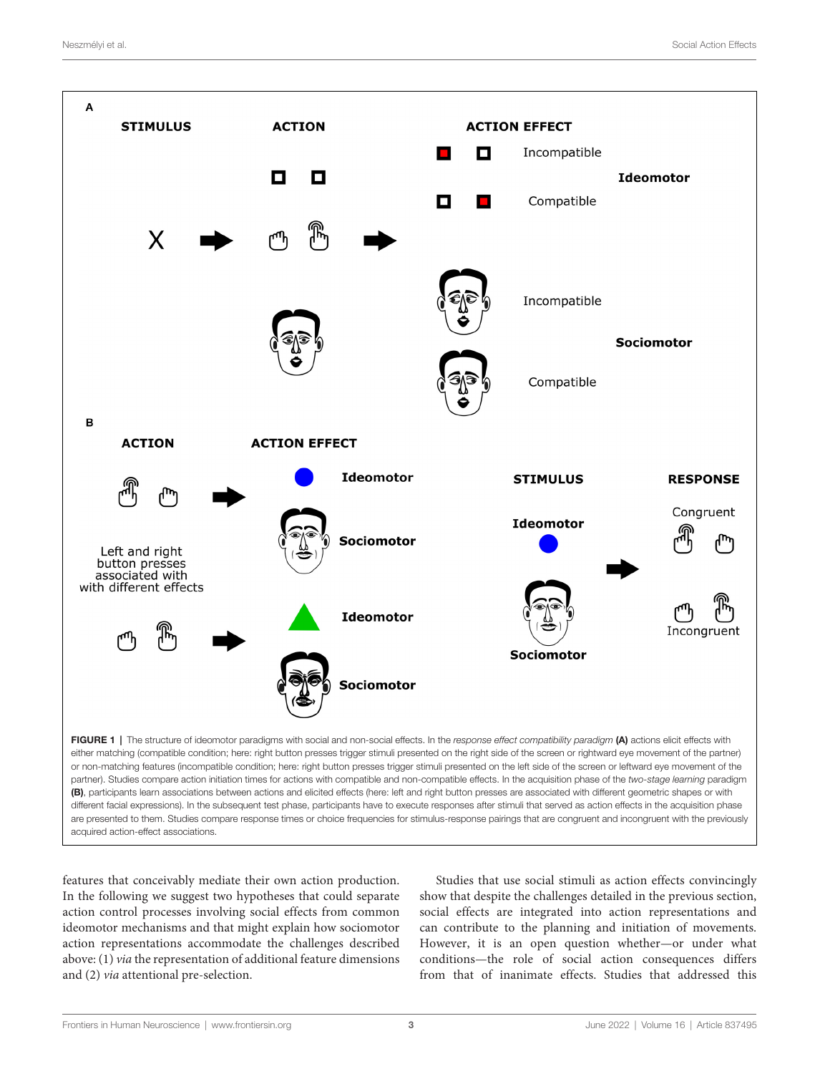

<span id="page-2-0"></span>acquired action-effect associations.

features that conceivably mediate their own action production. In the following we suggest two hypotheses that could separate action control processes involving social effects from common ideomotor mechanisms and that might explain how sociomotor action representations accommodate the challenges described above: (1) via the representation of additional feature dimensions and (2) via attentional pre-selection.

Studies that use social stimuli as action effects convincingly show that despite the challenges detailed in the previous section, social effects are integrated into action representations and can contribute to the planning and initiation of movements. However, it is an open question whether—or under what conditions—the role of social action consequences differs from that of inanimate effects. Studies that addressed this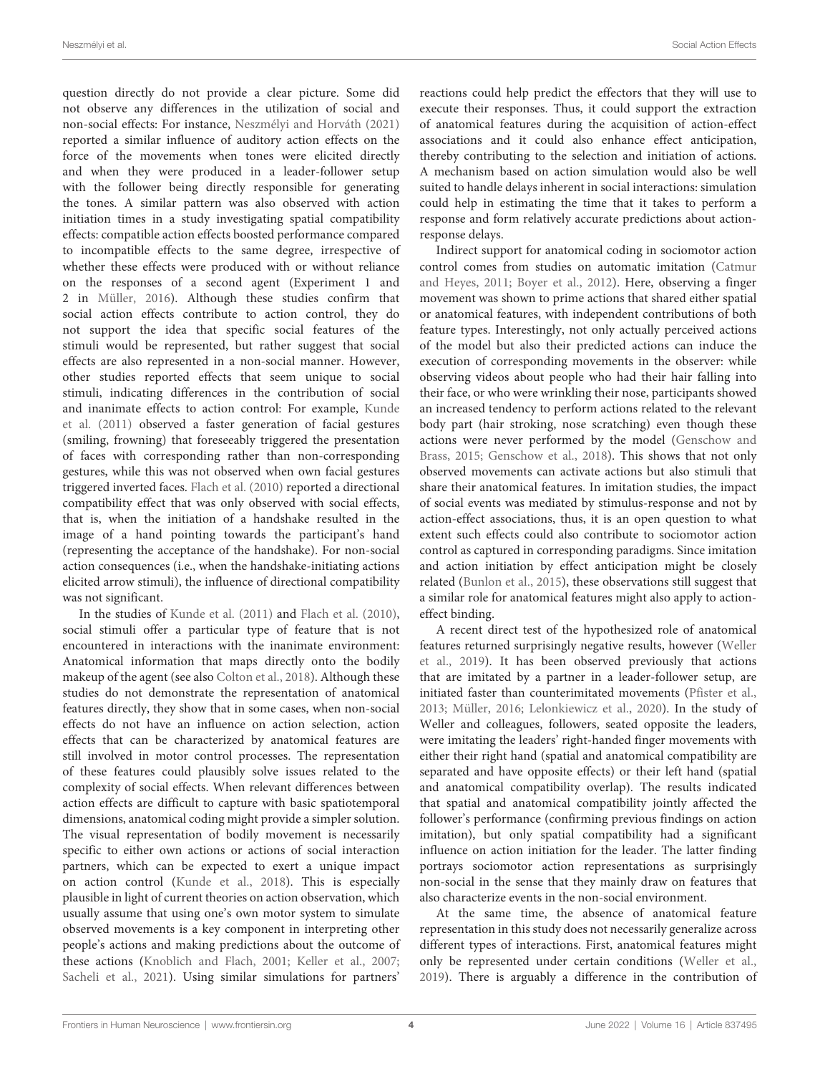question directly do not provide a clear picture. Some did not observe any differences in the utilization of social and non-social effects: For instance, [Neszmélyi and Horváth](#page-6-24) [\(2021\)](#page-6-24) reported a similar influence of auditory action effects on the force of the movements when tones were elicited directly and when they were produced in a leader-follower setup with the follower being directly responsible for generating the tones. A similar pattern was also observed with action initiation times in a study investigating spatial compatibility effects: compatible action effects boosted performance compared to incompatible effects to the same degree, irrespective of whether these effects were produced with or without reliance on the responses of a second agent (Experiment 1 and 2 in [Müller,](#page-6-10) [2016\)](#page-6-10). Although these studies confirm that social action effects contribute to action control, they do not support the idea that specific social features of the stimuli would be represented, but rather suggest that social effects are also represented in a non-social manner. However, other studies reported effects that seem unique to social stimuli, indicating differences in the contribution of social and inanimate effects to action control: For example, [Kunde](#page-6-25) [et al.](#page-6-25) [\(2011\)](#page-6-25) observed a faster generation of facial gestures (smiling, frowning) that foreseeably triggered the presentation of faces with corresponding rather than non-corresponding gestures, while this was not observed when own facial gestures triggered inverted faces. [Flach et al.](#page-5-1) [\(2010\)](#page-5-1) reported a directional compatibility effect that was only observed with social effects, that is, when the initiation of a handshake resulted in the image of a hand pointing towards the participant's hand (representing the acceptance of the handshake). For non-social action consequences (i.e., when the handshake-initiating actions elicited arrow stimuli), the influence of directional compatibility was not significant.

In the studies of [Kunde et al.](#page-6-25) [\(2011\)](#page-6-25) and [Flach et al.](#page-5-1) [\(2010\)](#page-5-1), social stimuli offer a particular type of feature that is not encountered in interactions with the inanimate environment: Anatomical information that maps directly onto the bodily makeup of the agent (see also [Colton et al.,](#page-5-2) [2018\)](#page-5-2). Although these studies do not demonstrate the representation of anatomical features directly, they show that in some cases, when non-social effects do not have an influence on action selection, action effects that can be characterized by anatomical features are still involved in motor control processes. The representation of these features could plausibly solve issues related to the complexity of social effects. When relevant differences between action effects are difficult to capture with basic spatiotemporal dimensions, anatomical coding might provide a simpler solution. The visual representation of bodily movement is necessarily specific to either own actions or actions of social interaction partners, which can be expected to exert a unique impact on action control [\(Kunde et al.,](#page-6-1) [2018\)](#page-6-1). This is especially plausible in light of current theories on action observation, which usually assume that using one's own motor system to simulate observed movements is a key component in interpreting other people's actions and making predictions about the outcome of these actions [\(Knoblich and Flach,](#page-6-26) [2001;](#page-6-26) [Keller et al.,](#page-6-27) [2007;](#page-6-27) [Sacheli et al.,](#page-6-28) [2021\)](#page-6-28). Using similar simulations for partners'

reactions could help predict the effectors that they will use to execute their responses. Thus, it could support the extraction of anatomical features during the acquisition of action-effect associations and it could also enhance effect anticipation, thereby contributing to the selection and initiation of actions. A mechanism based on action simulation would also be well suited to handle delays inherent in social interactions: simulation could help in estimating the time that it takes to perform a response and form relatively accurate predictions about actionresponse delays.

Indirect support for anatomical coding in sociomotor action control comes from studies on automatic imitation [\(Catmur](#page-5-3) [and Heyes,](#page-5-3) [2011;](#page-5-3) [Boyer et al.,](#page-5-4) [2012\)](#page-5-4). Here, observing a finger movement was shown to prime actions that shared either spatial or anatomical features, with independent contributions of both feature types. Interestingly, not only actually perceived actions of the model but also their predicted actions can induce the execution of corresponding movements in the observer: while observing videos about people who had their hair falling into their face, or who were wrinkling their nose, participants showed an increased tendency to perform actions related to the relevant body part (hair stroking, nose scratching) even though these actions were never performed by the model [\(Genschow and](#page-5-5) [Brass,](#page-5-5) [2015;](#page-5-5) [Genschow et al.,](#page-5-6) [2018\)](#page-5-6). This shows that not only observed movements can activate actions but also stimuli that share their anatomical features. In imitation studies, the impact of social events was mediated by stimulus-response and not by action-effect associations, thus, it is an open question to what extent such effects could also contribute to sociomotor action control as captured in corresponding paradigms. Since imitation and action initiation by effect anticipation might be closely related [\(Bunlon et al.,](#page-5-7) [2015\)](#page-5-7), these observations still suggest that a similar role for anatomical features might also apply to actioneffect binding.

A recent direct test of the hypothesized role of anatomical features returned surprisingly negative results, however [\(Weller](#page-7-4) [et al.,](#page-7-4) [2019\)](#page-7-4). It has been observed previously that actions that are imitated by a partner in a leader-follower setup, are initiated faster than counterimitated movements [\(Pfister et al.,](#page-6-9) [2013;](#page-6-9) [Müller,](#page-6-10) [2016;](#page-6-10) [Lelonkiewicz et al.,](#page-6-16) [2020\)](#page-6-16). In the study of Weller and colleagues, followers, seated opposite the leaders, were imitating the leaders' right-handed finger movements with either their right hand (spatial and anatomical compatibility are separated and have opposite effects) or their left hand (spatial and anatomical compatibility overlap). The results indicated that spatial and anatomical compatibility jointly affected the follower's performance (confirming previous findings on action imitation), but only spatial compatibility had a significant influence on action initiation for the leader. The latter finding portrays sociomotor action representations as surprisingly non-social in the sense that they mainly draw on features that also characterize events in the non-social environment.

At the same time, the absence of anatomical feature representation in this study does not necessarily generalize across different types of interactions. First, anatomical features might only be represented under certain conditions [\(Weller et al.,](#page-7-4) [2019\)](#page-7-4). There is arguably a difference in the contribution of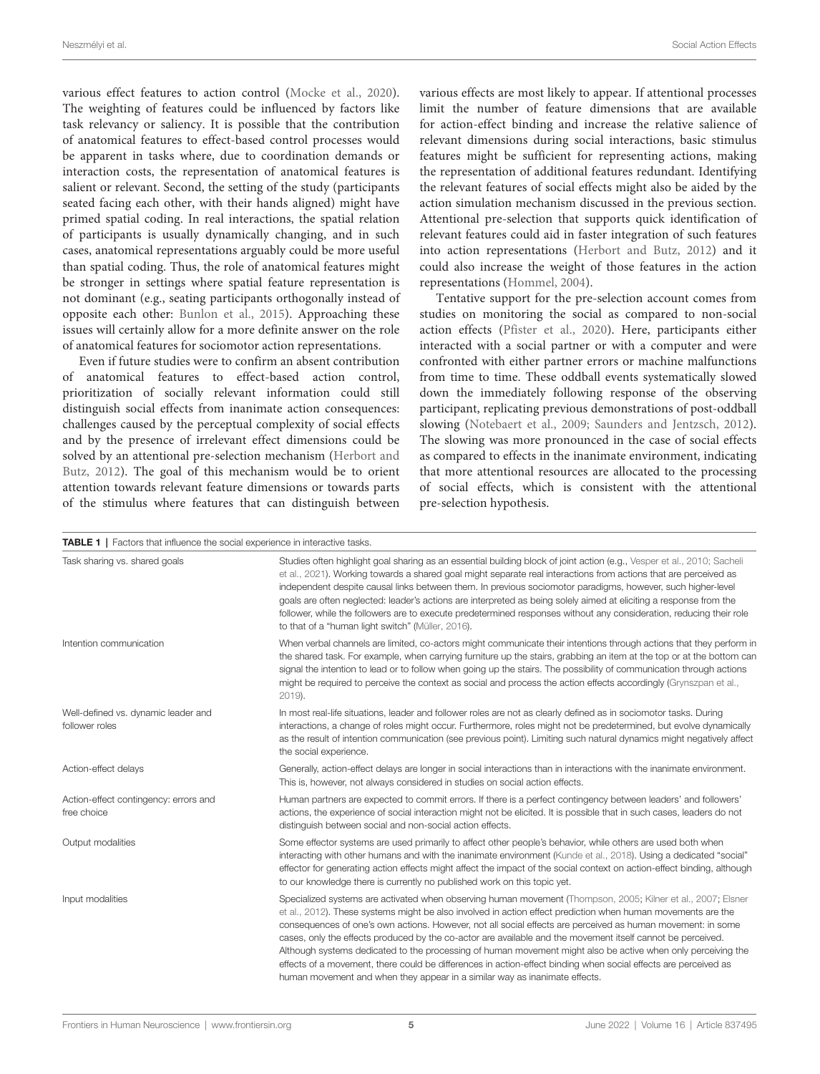various effect features to action control [\(Mocke et al.,](#page-6-29) [2020\)](#page-6-29). The weighting of features could be influenced by factors like task relevancy or saliency. It is possible that the contribution of anatomical features to effect-based control processes would be apparent in tasks where, due to coordination demands or interaction costs, the representation of anatomical features is salient or relevant. Second, the setting of the study (participants seated facing each other, with their hands aligned) might have primed spatial coding. In real interactions, the spatial relation of participants is usually dynamically changing, and in such cases, anatomical representations arguably could be more useful than spatial coding. Thus, the role of anatomical features might be stronger in settings where spatial feature representation is not dominant (e.g., seating participants orthogonally instead of opposite each other: [Bunlon et al.,](#page-5-7) [2015\)](#page-5-7). Approaching these issues will certainly allow for a more definite answer on the role of anatomical features for sociomotor action representations.

Even if future studies were to confirm an absent contribution of anatomical features to effect-based action control, prioritization of socially relevant information could still distinguish social effects from inanimate action consequences: challenges caused by the perceptual complexity of social effects and by the presence of irrelevant effect dimensions could be solved by an attentional pre-selection mechanism [\(Herbort and](#page-6-30) [Butz,](#page-6-30) [2012\)](#page-6-30). The goal of this mechanism would be to orient attention towards relevant feature dimensions or towards parts of the stimulus where features that can distinguish between

various effects are most likely to appear. If attentional processes limit the number of feature dimensions that are available for action-effect binding and increase the relative salience of relevant dimensions during social interactions, basic stimulus features might be sufficient for representing actions, making the representation of additional features redundant. Identifying the relevant features of social effects might also be aided by the action simulation mechanism discussed in the previous section. Attentional pre-selection that supports quick identification of relevant features could aid in faster integration of such features into action representations [\(Herbort and Butz,](#page-6-30) [2012\)](#page-6-30) and it could also increase the weight of those features in the action representations [\(Hommel,](#page-6-31) [2004\)](#page-6-31).

Tentative support for the pre-selection account comes from studies on monitoring the social as compared to non-social action effects [\(Pfister et al.,](#page-6-32) [2020\)](#page-6-32). Here, participants either interacted with a social partner or with a computer and were confronted with either partner errors or machine malfunctions from time to time. These oddball events systematically slowed down the immediately following response of the observing participant, replicating previous demonstrations of post-oddball slowing [\(Notebaert et al.,](#page-6-33) [2009;](#page-6-33) [Saunders and Jentzsch,](#page-6-34) [2012\)](#page-6-34). The slowing was more pronounced in the case of social effects as compared to effects in the inanimate environment, indicating that more attentional resources are allocated to the processing of social effects, which is consistent with the attentional pre-selection hypothesis.

<span id="page-4-0"></span>

| Task sharing vs. shared goals                         | Studies often highlight goal sharing as an essential building block of joint action (e.g., Vesper et al., 2010; Sacheli<br>et al., 2021). Working towards a shared goal might separate real interactions from actions that are perceived as<br>independent despite causal links between them. In previous sociomotor paradigms, however, such higher-level<br>goals are often neglected: leader's actions are interpreted as being solely aimed at eliciting a response from the<br>follower, while the followers are to execute predetermined responses without any consideration, reducing their role<br>to that of a "human light switch" (Müller, 2016).                                                                                                                |
|-------------------------------------------------------|-----------------------------------------------------------------------------------------------------------------------------------------------------------------------------------------------------------------------------------------------------------------------------------------------------------------------------------------------------------------------------------------------------------------------------------------------------------------------------------------------------------------------------------------------------------------------------------------------------------------------------------------------------------------------------------------------------------------------------------------------------------------------------|
| Intention communication                               | When verbal channels are limited, co-actors might communicate their intentions through actions that they perform in<br>the shared task. For example, when carrying furniture up the stairs, grabbing an item at the top or at the bottom can<br>signal the intention to lead or to follow when going up the stairs. The possibility of communication through actions<br>might be required to perceive the context as social and process the action effects accordingly (Grynszpan et al.,<br>2019).                                                                                                                                                                                                                                                                         |
| Well-defined vs. dynamic leader and<br>follower roles | In most real-life situations, leader and follower roles are not as clearly defined as in sociomotor tasks. During<br>interactions, a change of roles might occur. Furthermore, roles might not be predetermined, but evolve dynamically<br>as the result of intention communication (see previous point). Limiting such natural dynamics might negatively affect<br>the social experience.                                                                                                                                                                                                                                                                                                                                                                                  |
| Action-effect delays                                  | Generally, action-effect delays are longer in social interactions than in interactions with the inanimate environment.<br>This is, however, not always considered in studies on social action effects.                                                                                                                                                                                                                                                                                                                                                                                                                                                                                                                                                                      |
| Action-effect contingency: errors and<br>free choice  | Human partners are expected to commit errors. If there is a perfect contingency between leaders' and followers'<br>actions, the experience of social interaction might not be elicited. It is possible that in such cases, leaders do not<br>distinguish between social and non-social action effects.                                                                                                                                                                                                                                                                                                                                                                                                                                                                      |
| Output modalities                                     | Some effector systems are used primarily to affect other people's behavior, while others are used both when<br>interacting with other humans and with the inanimate environment (Kunde et al., 2018). Using a dedicated "social"<br>effector for generating action effects might affect the impact of the social context on action-effect binding, although<br>to our knowledge there is currently no published work on this topic yet.                                                                                                                                                                                                                                                                                                                                     |
| Input modalities                                      | Specialized systems are activated when observing human movement (Thompson, 2005; Kilner et al., 2007; Elsner<br>et al., 2012). These systems might be also involved in action effect prediction when human movements are the<br>consequences of one's own actions. However, not all social effects are perceived as human movement: in some<br>cases, only the effects produced by the co-actor are available and the movement itself cannot be perceived.<br>Although systems dedicated to the processing of human movement might also be active when only perceiving the<br>effects of a movement, there could be differences in action-effect binding when social effects are perceived as<br>human movement and when they appear in a similar way as inanimate effects. |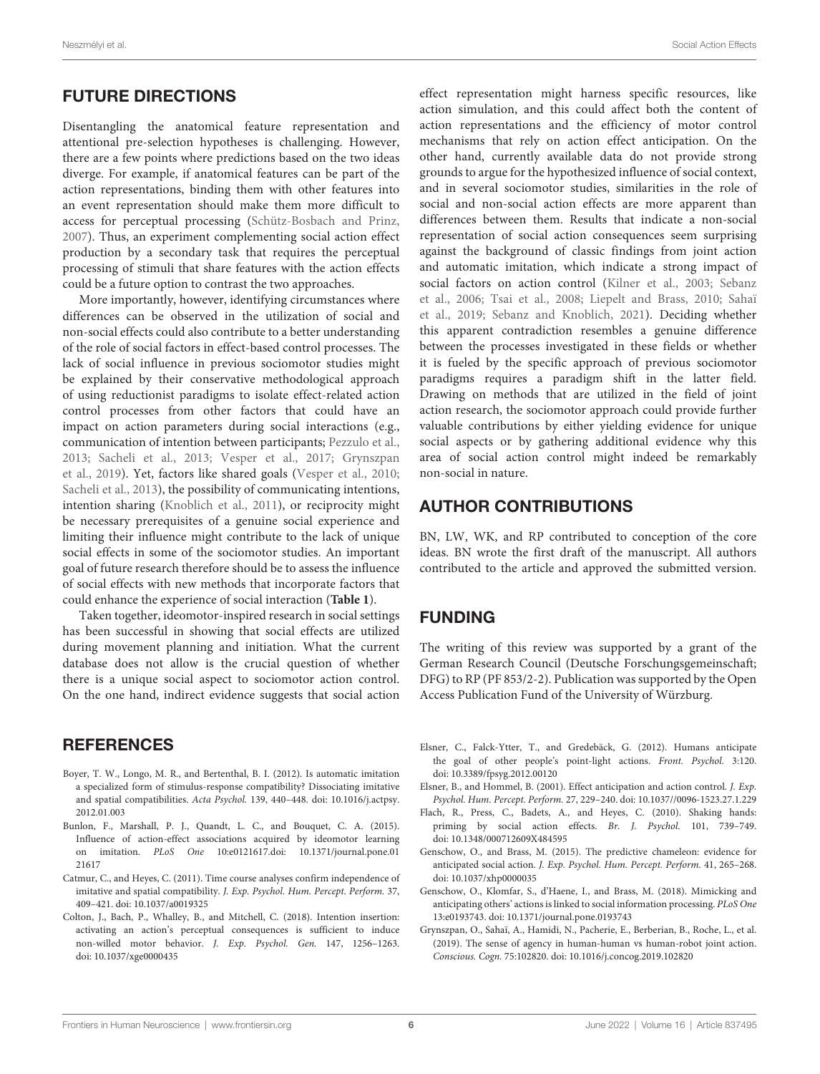# FUTURE DIRECTIONS

Disentangling the anatomical feature representation and attentional pre-selection hypotheses is challenging. However, there are a few points where predictions based on the two ideas diverge. For example, if anatomical features can be part of the action representations, binding them with other features into an event representation should make them more difficult to access for perceptual processing [\(Schütz-Bosbach and Prinz,](#page-6-37) [2007\)](#page-6-37). Thus, an experiment complementing social action effect production by a secondary task that requires the perceptual processing of stimuli that share features with the action effects could be a future option to contrast the two approaches.

More importantly, however, identifying circumstances where differences can be observed in the utilization of social and non-social effects could also contribute to a better understanding of the role of social factors in effect-based control processes. The lack of social influence in previous sociomotor studies might be explained by their conservative methodological approach of using reductionist paradigms to isolate effect-related action control processes from other factors that could have an impact on action parameters during social interactions (e.g., communication of intention between participants; [Pezzulo et al.,](#page-6-38) [2013;](#page-6-38) [Sacheli et al.,](#page-6-39) [2013;](#page-6-39) [Vesper et al.,](#page-7-5) [2017;](#page-7-5) [Grynszpan](#page-5-8) [et al.,](#page-5-8) [2019\)](#page-5-8). Yet, factors like shared goals [\(Vesper et al.,](#page-7-1) [2010;](#page-7-1) [Sacheli et al.,](#page-6-39) [2013\)](#page-6-39), the possibility of communicating intentions, intention sharing [\(Knoblich et al.,](#page-6-0) [2011\)](#page-6-0), or reciprocity might be necessary prerequisites of a genuine social experience and limiting their influence might contribute to the lack of unique social effects in some of the sociomotor studies. An important goal of future research therefore should be to assess the influence of social effects with new methods that incorporate factors that could enhance the experience of social interaction (**[Table 1](#page-4-0)**).

Taken together, ideomotor-inspired research in social settings has been successful in showing that social effects are utilized during movement planning and initiation. What the current database does not allow is the crucial question of whether there is a unique social aspect to sociomotor action control. On the one hand, indirect evidence suggests that social action

## **REFERENCES**

- <span id="page-5-4"></span>Boyer, T. W., Longo, M. R., and Bertenthal, B. I. (2012). Is automatic imitation a specialized form of stimulus-response compatibility? Dissociating imitative and spatial compatibilities. Acta Psychol. 139, 440–448. [doi: 10.1016/j.actpsy.](https://doi.org/10.1016/j.actpsy.2012.01.003) [2012.01.003](https://doi.org/10.1016/j.actpsy.2012.01.003)
- <span id="page-5-7"></span>Bunlon, F., Marshall, P. J., Quandt, L. C., and Bouquet, C. A. (2015). Influence of action-effect associations acquired by ideomotor learning on imitation. PLoS One 10:e0121617[.doi: 10.1371/journal.pone.01](https://doi.org/10.1371/journal.pone.0121617) [21617](https://doi.org/10.1371/journal.pone.0121617)
- <span id="page-5-3"></span>Catmur, C., and Heyes, C. (2011). Time course analyses confirm independence of imitative and spatial compatibility. J. Exp. Psychol. Hum. Percept. Perform. 37, 409–421. [doi: 10.1037/a0019325](https://doi.org/10.1037/a0019325)
- <span id="page-5-2"></span>Colton, J., Bach, P., Whalley, B., and Mitchell, C. (2018). Intention insertion: activating an action's perceptual consequences is sufficient to induce non-willed motor behavior. J. Exp. Psychol. Gen. 147, 1256–1263. [doi: 10.1037/xge0000435](https://doi.org/10.1037/xge0000435)

effect representation might harness specific resources, like action simulation, and this could affect both the content of action representations and the efficiency of motor control mechanisms that rely on action effect anticipation. On the other hand, currently available data do not provide strong grounds to argue for the hypothesized influence of social context, and in several sociomotor studies, similarities in the role of social and non-social action effects are more apparent than differences between them. Results that indicate a non-social representation of social action consequences seem surprising against the background of classic findings from joint action and automatic imitation, which indicate a strong impact of social factors on action control [\(Kilner et al.,](#page-6-40) [2003;](#page-6-40) [Sebanz](#page-6-41) [et al.,](#page-6-41) [2006;](#page-6-41) [Tsai et al.,](#page-6-42) [2008;](#page-6-42) [Liepelt and Brass,](#page-6-43) [2010;](#page-6-43) [Sahaï](#page-6-44) [et al.,](#page-6-44) [2019;](#page-6-44) [Sebanz and Knoblich,](#page-6-45) [2021\)](#page-6-45). Deciding whether this apparent contradiction resembles a genuine difference between the processes investigated in these fields or whether it is fueled by the specific approach of previous sociomotor paradigms requires a paradigm shift in the latter field. Drawing on methods that are utilized in the field of joint action research, the sociomotor approach could provide further valuable contributions by either yielding evidence for unique social aspects or by gathering additional evidence why this area of social action control might indeed be remarkably non-social in nature.

### AUTHOR CONTRIBUTIONS

BN, LW, WK, and RP contributed to conception of the core ideas. BN wrote the first draft of the manuscript. All authors contributed to the article and approved the submitted version.

### FUNDING

The writing of this review was supported by a grant of the German Research Council (Deutsche Forschungsgemeinschaft; DFG) to RP (PF 853/2-2). Publication was supported by the Open Access Publication Fund of the University of Würzburg.

- <span id="page-5-9"></span>Elsner, C., Falck-Ytter, T., and Gredebäck, G. (2012). Humans anticipate the goal of other people's point-light actions. Front. Psychol. 3:120. [doi: 10.3389/fpsyg.2012.00120](https://doi.org/10.3389/fpsyg.2012.00120)
- <span id="page-5-0"></span>Elsner, B., and Hommel, B. (2001). Effect anticipation and action control. J. Exp. Psychol. Hum. Percept. Perform. 27, 229–240. [doi: 10.1037//0096-1523.27.1.229](https://doi.org/10.1037//0096-1523.27.1.229)
- <span id="page-5-1"></span>Flach, R., Press, C., Badets, A., and Heyes, C. (2010). Shaking hands: priming by social action effects. Br. J. Psychol. 101, 739–749. [doi: 10.1348/000712609X484595](https://doi.org/10.1348/000712609X484595)
- <span id="page-5-5"></span>Genschow, O., and Brass, M. (2015). The predictive chameleon: evidence for anticipated social action. J. Exp. Psychol. Hum. Percept. Perform. 41, 265–268. [doi: 10.1037/xhp0000035](https://doi.org/10.1037/xhp0000035)
- <span id="page-5-6"></span>Genschow, O., Klomfar, S., d'Haene, I., and Brass, M. (2018). Mimicking and anticipating others' actions is linked to social information processing. PLoS One 13:e0193743. [doi: 10.1371/journal.pone.0193743](https://doi.org/10.1371/journal.pone.0193743)
- <span id="page-5-8"></span>Grynszpan, O., Sahaï, A., Hamidi, N., Pacherie, E., Berberian, B., Roche, L., et al. (2019). The sense of agency in human-human vs human-robot joint action. Conscious. Cogn. 75:102820. [doi: 10.1016/j.concog.2019.102820](https://doi.org/10.1016/j.concog.2019.102820)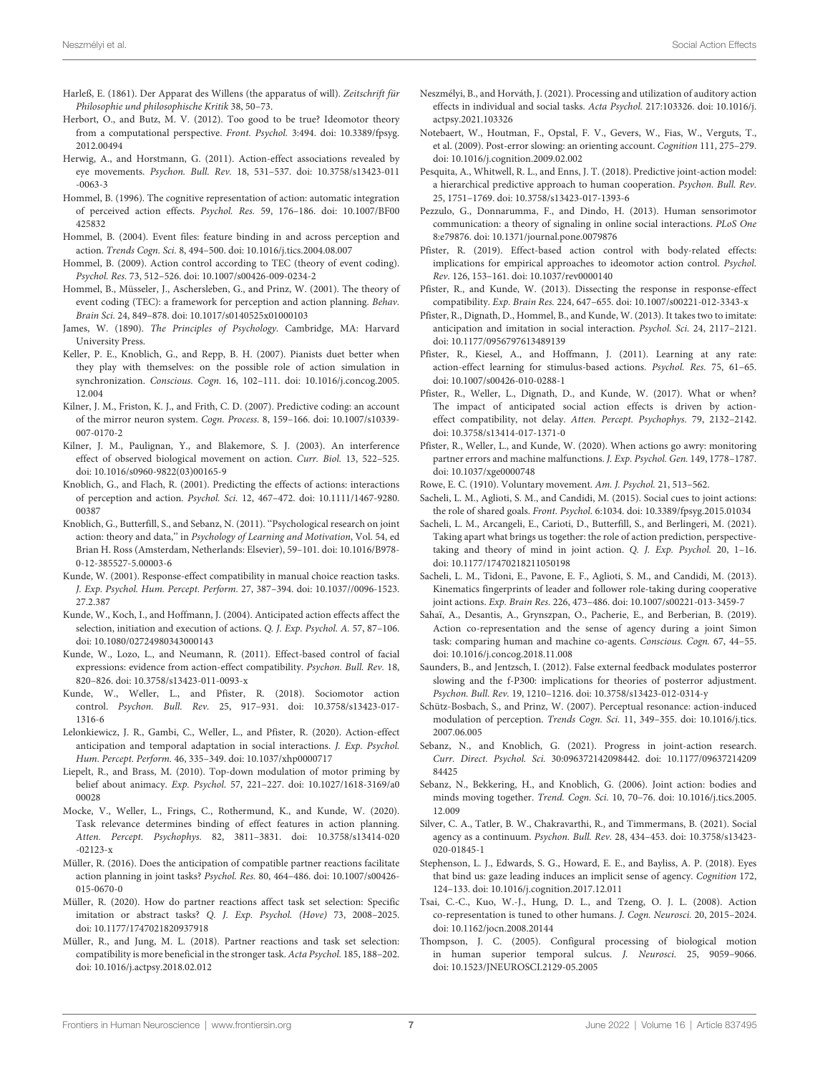- <span id="page-6-2"></span>Harleß, E. (1861). Der Apparat des Willens (the apparatus of will). Zeitschrift für Philosophie und philosophische Kritik 38, 50–73.
- <span id="page-6-30"></span>Herbort, O., and Butz, M. V. (2012). Too good to be true? Ideomotor theory from a computational perspective. Front. Psychol. 3:494. [doi: 10.3389/fpsyg.](https://doi.org/10.3389/fpsyg.2012.00494) [2012.00494](https://doi.org/10.3389/fpsyg.2012.00494)
- <span id="page-6-8"></span>Herwig, A., and Horstmann, G. (2011). Action-effect associations revealed by eye movements. Psychon. Bull. Rev. 18, 531–537. [doi: 10.3758/s13423-011](https://doi.org/10.3758/s13423-011-0063-3) [-0063-3](https://doi.org/10.3758/s13423-011-0063-3)
- <span id="page-6-13"></span>Hommel, B. (1996). The cognitive representation of action: automatic integration of perceived action effects. Psychol. Res. 59, 176–186. [doi: 10.1007/BF00](https://doi.org/10.1007/BF00425832) [425832](https://doi.org/10.1007/BF00425832)
- <span id="page-6-31"></span>Hommel, B. (2004). Event files: feature binding in and across perception and action. Trends Cogn. Sci. 8, 494–500. [doi: 10.1016/j.tics.2004.08.007](https://doi.org/10.1016/j.tics.2004.08.007)
- <span id="page-6-7"></span>Hommel, B. (2009). Action control according to TEC (theory of event coding). Psychol. Res. 73, 512–526. [doi: 10.1007/s00426-009-0234-2](https://doi.org/10.1007/s00426-009-0234-2)
- <span id="page-6-23"></span>Hommel, B., Müsseler, J., Aschersleben, G., and Prinz, W. (2001). The theory of event coding (TEC): a framework for perception and action planning. Behav. Brain Sci. 24, 849–878. [doi: 10.1017/s0140525x01000103](https://doi.org/10.1017/s0140525x01000103)
- <span id="page-6-3"></span>James, W. (1890). The Principles of Psychology. Cambridge, MA: Harvard University Press.
- <span id="page-6-27"></span>Keller, P. E., Knoblich, G., and Repp, B. H. (2007). Pianists duet better when they play with themselves: on the possible role of action simulation in synchronization. Conscious. Cogn. 16, 102–111. [doi: 10.1016/j.concog.2005.](https://doi.org/10.1016/j.concog.2005.12.004) [12.004](https://doi.org/10.1016/j.concog.2005.12.004)
- <span id="page-6-36"></span>Kilner, J. M., Friston, K. J., and Frith, C. D. (2007). Predictive coding: an account of the mirror neuron system. Cogn. Process. 8, 159–166. [doi: 10.1007/s10339-](https://doi.org/10.1007/s10339-007-0170-2) [007-0170-2](https://doi.org/10.1007/s10339-007-0170-2)
- <span id="page-6-40"></span>Kilner, J. M., Paulignan, Y., and Blakemore, S. J. (2003). An interference effect of observed biological movement on action. Curr. Biol. 13, 522–525. [doi: 10.1016/s0960-9822\(03\)00165-9](https://doi.org/10.1016/s0960-9822(03)00165-9)
- <span id="page-6-26"></span>Knoblich, G., and Flach, R. (2001). Predicting the effects of actions: interactions of perception and action. Psychol. Sci. 12, 467–472. [doi: 10.1111/1467-9280.](https://doi.org/10.1111/1467-9280.00387) [00387](https://doi.org/10.1111/1467-9280.00387)
- <span id="page-6-0"></span>Knoblich, G., Butterfill, S., and Sebanz, N. (2011). ''Psychological research on joint action: theory and data,'' in Psychology of Learning and Motivation, Vol. 54, ed Brian H. Ross (Amsterdam, Netherlands: Elsevier), 59–101. [doi: 10.1016/B978-](https://doi.org/10.1016/B978-0-12-385527-5.00003-6) [0-12-385527-5.00003-6](https://doi.org/10.1016/B978-0-12-385527-5.00003-6)
- <span id="page-6-6"></span>Kunde, W. (2001). Response-effect compatibility in manual choice reaction tasks. J. Exp. Psychol. Hum. Percept. Perform. 27, 387–394. [doi: 10.1037//0096-1523.](https://doi.org/10.1037//0096-1523.27.2.387) [27.2.387](https://doi.org/10.1037//0096-1523.27.2.387)
- <span id="page-6-11"></span>Kunde, W., Koch, I., and Hoffmann, J. (2004). Anticipated action effects affect the selection, initiation and execution of actions. Q. J. Exp. Psychol. A. 57, 87–106. [doi: 10.1080/02724980343000143](https://doi.org/10.1080/02724980343000143)
- <span id="page-6-25"></span>Kunde, W., Lozo, L., and Neumann, R. (2011). Effect-based control of facial expressions: evidence from action-effect compatibility. Psychon. Bull. Rev. 18, 820–826. [doi: 10.3758/s13423-011-0093-x](https://doi.org/10.3758/s13423-011-0093-x)
- <span id="page-6-1"></span>Kunde, W., Weller, L., and Pfister, R. (2018). Sociomotor action control. Psychon. Bull. Rev. 25, 917–931. [doi: 10.3758/s13423-017-](https://doi.org/10.3758/s13423-017-1316-6) [1316-6](https://doi.org/10.3758/s13423-017-1316-6)
- <span id="page-6-16"></span>Lelonkiewicz, J. R., Gambi, C., Weller, L., and Pfister, R. (2020). Action-effect anticipation and temporal adaptation in social interactions. J. Exp. Psychol. Hum. Percept. Perform. 46, 335–349. [doi: 10.1037/xhp0000717](https://doi.org/10.1037/xhp0000717)
- <span id="page-6-43"></span>Liepelt, R., and Brass, M. (2010). Top-down modulation of motor priming by belief about animacy. Exp. Psychol. 57, 221–227. [doi: 10.1027/1618-3169/a0](https://doi.org/10.1027/1618-3169/a000028) [00028](https://doi.org/10.1027/1618-3169/a000028)
- <span id="page-6-29"></span>Mocke, V., Weller, L., Frings, C., Rothermund, K., and Kunde, W. (2020). Task relevance determines binding of effect features in action planning. Atten. Percept. Psychophys. 82, 3811–3831. [doi: 10.3758/s13414-020](https://doi.org/10.3758/s13414-020-02123-x)  $-02123-x$
- <span id="page-6-10"></span>Müller, R. (2016). Does the anticipation of compatible partner reactions facilitate action planning in joint tasks? Psychol. Res. 80, 464–486. [doi: 10.1007/s00426-](https://doi.org/10.1007/s00426-015-0670-0) [015-0670-0](https://doi.org/10.1007/s00426-015-0670-0)
- <span id="page-6-19"></span>Müller, R. (2020). How do partner reactions affect task set selection: Specific imitation or abstract tasks? Q. J. Exp. Psychol. (Hove) 73, 2008–2025. [doi: 10.1177/1747021820937918](https://doi.org/10.1177/1747021820937918)
- <span id="page-6-18"></span>Müller, R., and Jung, M. L. (2018). Partner reactions and task set selection: compatibility is more beneficial in the stronger task. Acta Psychol. 185, 188–202. [doi: 10.1016/j.actpsy.2018.02.012](https://doi.org/10.1016/j.actpsy.2018.02.012)
- <span id="page-6-24"></span>Neszmélyi, B., and Horváth, J. (2021). Processing and utilization of auditory action effects in individual and social tasks. Acta Psychol. 217:103326. [doi: 10.1016/j.](https://doi.org/10.1016/j.actpsy.2021.103326) [actpsy.2021.103326](https://doi.org/10.1016/j.actpsy.2021.103326)
- <span id="page-6-33"></span>Notebaert, W., Houtman, F., Opstal, F. V., Gevers, W., Fias, W., Verguts, T., et al. (2009). Post-error slowing: an orienting account. Cognition 111, 275–279. [doi: 10.1016/j.cognition.2009.02.002](https://doi.org/10.1016/j.cognition.2009.02.002)
- <span id="page-6-20"></span>Pesquita, A., Whitwell, R. L., and Enns, J. T. (2018). Predictive joint-action model: a hierarchical predictive approach to human cooperation. Psychon. Bull. Rev. 25, 1751–1769. [doi: 10.3758/s13423-017-1393-6](https://doi.org/10.3758/s13423-017-1393-6)
- <span id="page-6-38"></span>Pezzulo, G., Donnarumma, F., and Dindo, H. (2013). Human sensorimotor communication: a theory of signaling in online social interactions. PLoS One 8:e79876. [doi: 10.1371/journal.pone.0079876](https://doi.org/10.1371/journal.pone.0079876)
- <span id="page-6-5"></span>Pfister, R. (2019). Effect-based action control with body-related effects: implications for empirical approaches to ideomotor action control. Psychol. Rev. 126, 153–161. [doi: 10.1037/rev0000140](https://doi.org/10.1037/rev0000140)
- <span id="page-6-12"></span>Pfister, R., and Kunde, W. (2013). Dissecting the response in response-effect compatibility. Exp. Brain Res. 224, 647–655. [doi: 10.1007/s00221-012-3343-x](https://doi.org/10.1007/s00221-012-3343-x)
- <span id="page-6-9"></span>Pfister, R., Dignath, D., Hommel, B., and Kunde, W. (2013). It takes two to imitate: anticipation and imitation in social interaction. Psychol. Sci. 24, 2117–2121. [doi: 10.1177/0956797613489139](https://doi.org/10.1177/0956797613489139)
- <span id="page-6-14"></span>Pfister, R., Kiesel, A., and Hoffmann, J. (2011). Learning at any rate: action-effect learning for stimulus-based actions. Psychol. Res. 75, 61–65. [doi: 10.1007/s00426-010-0288-1](https://doi.org/10.1007/s00426-010-0288-1)
- <span id="page-6-15"></span>Pfister, R., Weller, L., Dignath, D., and Kunde, W. (2017). What or when? The impact of anticipated social action effects is driven by actioneffect compatibility, not delay. Atten. Percept. Psychophys. 79, 2132–2142. [doi: 10.3758/s13414-017-1371-0](https://doi.org/10.3758/s13414-017-1371-0)
- <span id="page-6-32"></span>Pfister, R., Weller, L., and Kunde, W. (2020). When actions go awry: monitoring partner errors and machine malfunctions. J. Exp. Psychol. Gen. 149, 1778–1787. [doi: 10.1037/xge0000748](https://doi.org/10.1037/xge0000748)
- <span id="page-6-4"></span>Rowe, E. C. (1910). Voluntary movement. Am. J. Psychol. 21, 513–562.
- <span id="page-6-17"></span>Sacheli, L. M., Aglioti, S. M., and Candidi, M. (2015). Social cues to joint actions: the role of shared goals. Front. Psychol. 6:1034. [doi: 10.3389/fpsyg.2015.01034](https://doi.org/10.3389/fpsyg.2015.01034)
- <span id="page-6-28"></span>Sacheli, L. M., Arcangeli, E., Carioti, D., Butterfill, S., and Berlingeri, M. (2021). Taking apart what brings us together: the role of action prediction, perspectivetaking and theory of mind in joint action. Q. J. Exp. Psychol. 20, 1–16. [doi: 10.1177/17470218211050198](https://doi.org/10.1177/17470218211050198)
- <span id="page-6-39"></span>Sacheli, L. M., Tidoni, E., Pavone, E. F., Aglioti, S. M., and Candidi, M. (2013). Kinematics fingerprints of leader and follower role-taking during cooperative joint actions. Exp. Brain Res. 226, 473–486. [doi: 10.1007/s00221-013-3459-7](https://doi.org/10.1007/s00221-013-3459-7)
- <span id="page-6-44"></span>Sahaï, A., Desantis, A., Grynszpan, O., Pacherie, E., and Berberian, B. (2019). Action co-representation and the sense of agency during a joint Simon task: comparing human and machine co-agents. Conscious. Cogn. 67, 44–55. [doi: 10.1016/j.concog.2018.11.008](https://doi.org/10.1016/j.concog.2018.11.008)
- <span id="page-6-34"></span>Saunders, B., and Jentzsch, I. (2012). False external feedback modulates posterror slowing and the f-P300: implications for theories of posterror adjustment. Psychon. Bull. Rev. 19, 1210–1216. [doi: 10.3758/s13423-012-0314-y](https://doi.org/10.3758/s13423-012-0314-y)
- <span id="page-6-37"></span>Schütz-Bosbach, S., and Prinz, W. (2007). Perceptual resonance: action-induced modulation of perception. Trends Cogn. Sci. 11, 349–355. [doi: 10.1016/j.tics.](https://doi.org/10.1016/j.tics.2007.06.005) [2007.06.005](https://doi.org/10.1016/j.tics.2007.06.005)
- <span id="page-6-45"></span>Sebanz, N., and Knoblich, G. (2021). Progress in joint-action research. Curr. Direct. Psychol. Sci. 30:096372142098442. [doi: 10.1177/09637214209](https://doi.org/10.1177/0963721420984425) [84425](https://doi.org/10.1177/0963721420984425)
- <span id="page-6-41"></span>Sebanz, N., Bekkering, H., and Knoblich, G. (2006). Joint action: bodies and minds moving together. Trend. Cogn. Sci. 10, 70–76. [doi: 10.1016/j.tics.2005.](https://doi.org/10.1016/j.tics.2005.12.009) [12.009](https://doi.org/10.1016/j.tics.2005.12.009)
- <span id="page-6-22"></span>Silver, C. A., Tatler, B. W., Chakravarthi, R., and Timmermans, B. (2021). Social agency as a continuum. Psychon. Bull. Rev. 28, 434–453. [doi: 10.3758/s13423-](https://doi.org/10.3758/s13423-020-01845-1) [020-01845-1](https://doi.org/10.3758/s13423-020-01845-1)
- <span id="page-6-21"></span>Stephenson, L. J., Edwards, S. G., Howard, E. E., and Bayliss, A. P. (2018). Eyes that bind us: gaze leading induces an implicit sense of agency. Cognition 172, 124–133. [doi: 10.1016/j.cognition.2017.12.011](https://doi.org/10.1016/j.cognition.2017.12.011)
- <span id="page-6-42"></span>Tsai, C.-C., Kuo, W.-J., Hung, D. L., and Tzeng, O. J. L. (2008). Action co-representation is tuned to other humans. J. Cogn. Neurosci. 20, 2015–2024. [doi: 10.1162/jocn.2008.20144](https://doi.org/10.1162/jocn.2008.20144)
- <span id="page-6-35"></span>Thompson, J. C. (2005). Configural processing of biological motion in human superior temporal sulcus. J. Neurosci. 25, 9059–9066. [doi: 10.1523/JNEUROSCI.2129-05.2005](https://doi.org/10.1523/JNEUROSCI.2129-05.2005)